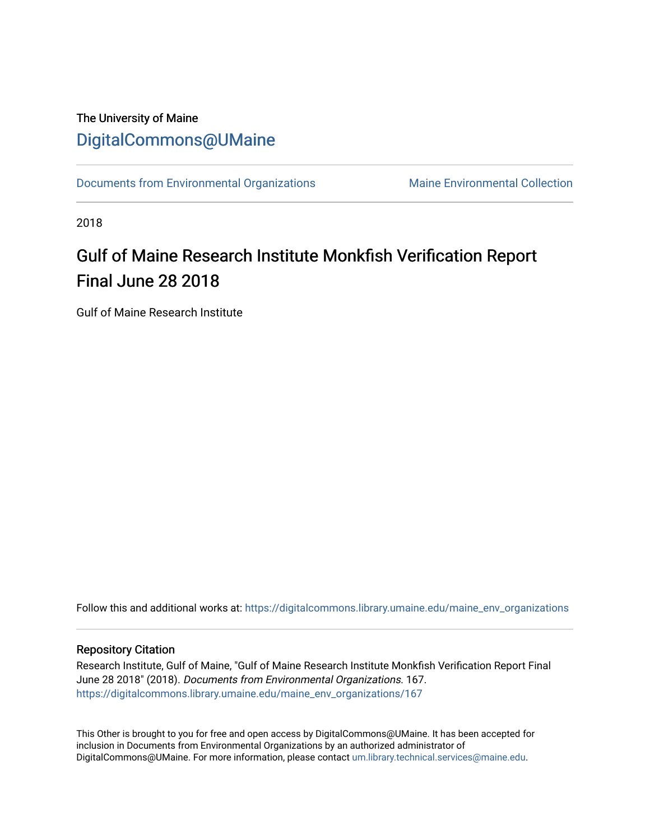# The University of Maine [DigitalCommons@UMaine](https://digitalcommons.library.umaine.edu/)

[Documents from Environmental Organizations](https://digitalcommons.library.umaine.edu/maine_env_organizations) Maine Environmental Collection

2018

# Gulf of Maine Research Institute Monkfish Verification Report Final June 28 2018

Gulf of Maine Research Institute

Follow this and additional works at: [https://digitalcommons.library.umaine.edu/maine\\_env\\_organizations](https://digitalcommons.library.umaine.edu/maine_env_organizations?utm_source=digitalcommons.library.umaine.edu%2Fmaine_env_organizations%2F167&utm_medium=PDF&utm_campaign=PDFCoverPages)

#### Repository Citation

Research Institute, Gulf of Maine, "Gulf of Maine Research Institute Monkfish Verification Report Final June 28 2018" (2018). Documents from Environmental Organizations. 167. [https://digitalcommons.library.umaine.edu/maine\\_env\\_organizations/167](https://digitalcommons.library.umaine.edu/maine_env_organizations/167?utm_source=digitalcommons.library.umaine.edu%2Fmaine_env_organizations%2F167&utm_medium=PDF&utm_campaign=PDFCoverPages)

This Other is brought to you for free and open access by DigitalCommons@UMaine. It has been accepted for inclusion in Documents from Environmental Organizations by an authorized administrator of DigitalCommons@UMaine. For more information, please contact [um.library.technical.services@maine.edu](mailto:um.library.technical.services@maine.edu).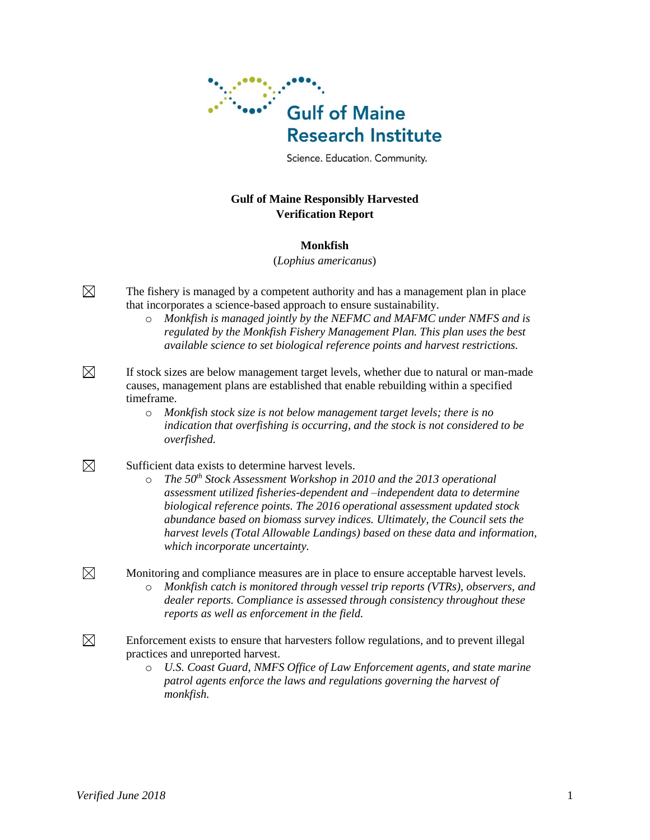

Science. Education. Community.

### **Gulf of Maine Responsibly Harvested Verification Report**

#### **Monkfish**

(*Lophius americanus*)

 $\boxtimes$ The fishery is managed by a competent authority and has a management plan in place that incorporates a science-based approach to ensure sustainability.

> o *Monkfish is managed jointly by the NEFMC and MAFMC under NMFS and is regulated by the Monkfish Fishery Management Plan. This plan uses the best available science to set biological reference points and harvest restrictions.*

 $\boxtimes$ If stock sizes are below management target levels, whether due to natural or man-made causes, management plans are established that enable rebuilding within a specified timeframe.

- o *Monkfish stock size is not below management target levels; there is no indication that overfishing is occurring, and the stock is not considered to be overfished.*
- $\boxtimes$ Sufficient data exists to determine harvest levels.
	- o *The 50th Stock Assessment Workshop in 2010 and the 2013 operational assessment utilized fisheries-dependent and –independent data to determine biological reference points. The 2016 operational assessment updated stock abundance based on biomass survey indices. Ultimately, the Council sets the harvest levels (Total Allowable Landings) based on these data and information, which incorporate uncertainty.*
	- Monitoring and compliance measures are in place to ensure acceptable harvest levels. o *Monkfish catch is monitored through vessel trip reports (VTRs), observers, and dealer reports. Compliance is assessed through consistency throughout these reports as well as enforcement in the field.*
- $\boxtimes$ Enforcement exists to ensure that harvesters follow regulations, and to prevent illegal practices and unreported harvest.
	- o *U.S. Coast Guard, NMFS Office of Law Enforcement agents, and state marine patrol agents enforce the laws and regulations governing the harvest of monkfish.*

 $\boxtimes$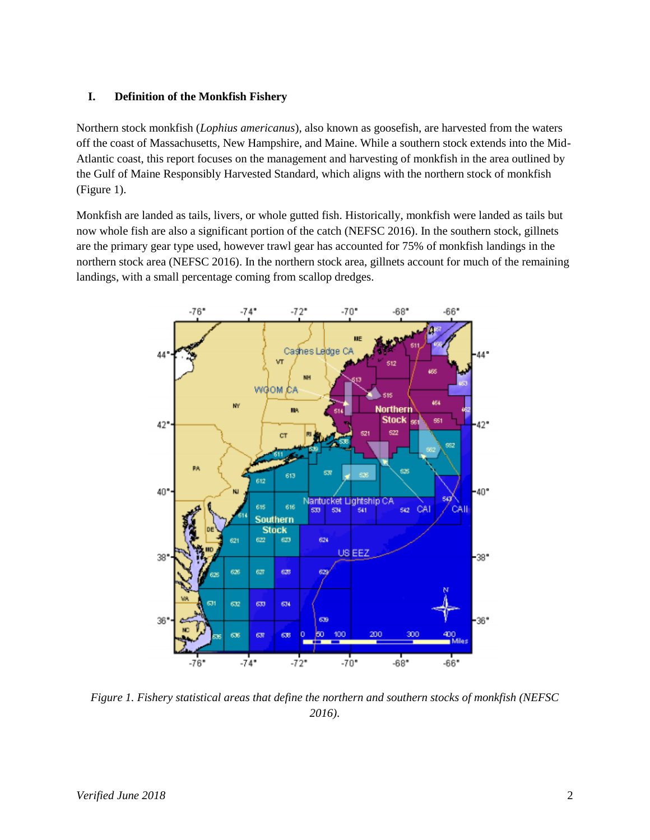#### **I. Definition of the Monkfish Fishery**

Northern stock monkfish (*Lophius americanus*), also known as goosefish, are harvested from the waters off the coast of Massachusetts, New Hampshire, and Maine. While a southern stock extends into the Mid-Atlantic coast, this report focuses on the management and harvesting of monkfish in the area outlined by the Gulf of Maine Responsibly Harvested Standard, which aligns with the northern stock of monkfish (Figure 1).

Monkfish are landed as tails, livers, or whole gutted fish. Historically, monkfish were landed as tails but now whole fish are also a significant portion of the catch (NEFSC 2016). In the southern stock, gillnets are the primary gear type used, however trawl gear has accounted for 75% of monkfish landings in the northern stock area (NEFSC 2016). In the northern stock area, gillnets account for much of the remaining landings, with a small percentage coming from scallop dredges.



*Figure 1. Fishery statistical areas that define the northern and southern stocks of monkfish (NEFSC 2016)*.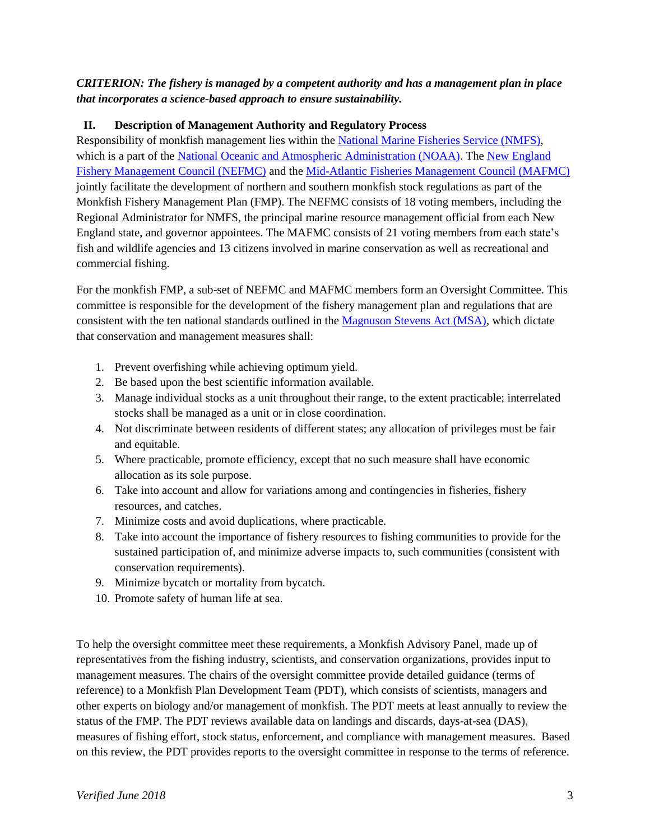# *CRITERION: The fishery is managed by a competent authority and has a management plan in place that incorporates a science-based approach to ensure sustainability.*

# **II. Description of Management Authority and Regulatory Process**

Responsibility of monkfish management lies within the [National Marine Fisheries Service \(NMFS\),](http://www.nmfs.noaa.gov/) which is a part of the [National Oceanic and Atmospheric Administration \(NOAA\).](http://www.noaa.gov/) The New England [Fishery Management Council \(NEFMC\)](http://www.nefmc.org/) and the [Mid-Atlantic Fisheries Management Council \(MAFMC\)](http://www.mafmc.org/) jointly facilitate the development of northern and southern monkfish stock regulations as part of the Monkfish Fishery Management Plan (FMP). The NEFMC consists of 18 voting members, including the Regional Administrator for NMFS, the principal marine resource management official from each New England state, and governor appointees. The MAFMC consists of 21 voting members from each state's fish and wildlife agencies and 13 citizens involved in marine conservation as well as recreational and commercial fishing.

For the monkfish FMP, a sub-set of NEFMC and MAFMC members form an Oversight Committee. This committee is responsible for the development of the fishery management plan and regulations that are consistent with the ten national standards outlined in the [Magnuson Stevens Act \(MSA\),](http://www.nmfs.noaa.gov/sfa/magact/) which dictate that conservation and management measures shall:

- 1. Prevent overfishing while achieving optimum yield.
- 2. Be based upon the best scientific information available.
- 3. Manage individual stocks as a unit throughout their range, to the extent practicable; interrelated stocks shall be managed as a unit or in close coordination.
- 4. Not discriminate between residents of different states; any allocation of privileges must be fair and equitable.
- 5. Where practicable, promote efficiency, except that no such measure shall have economic allocation as its sole purpose.
- 6. Take into account and allow for variations among and contingencies in fisheries, fishery resources, and catches.
- 7. Minimize costs and avoid duplications, where practicable.
- 8. Take into account the importance of fishery resources to fishing communities to provide for the sustained participation of, and minimize adverse impacts to, such communities (consistent with conservation requirements).
- 9. Minimize bycatch or mortality from bycatch.
- 10. Promote safety of human life at sea.

To help the oversight committee meet these requirements, a Monkfish Advisory Panel, made up of representatives from the fishing industry, scientists, and conservation organizations, provides input to management measures. The chairs of the oversight committee provide detailed guidance (terms of reference) to a Monkfish Plan Development Team (PDT), which consists of scientists, managers and other experts on biology and/or management of monkfish. The PDT meets at least annually to review the status of the FMP. The PDT reviews available data on landings and discards, days-at-sea (DAS), measures of fishing effort, stock status, enforcement, and compliance with management measures. Based on this review, the PDT provides reports to the oversight committee in response to the terms of reference.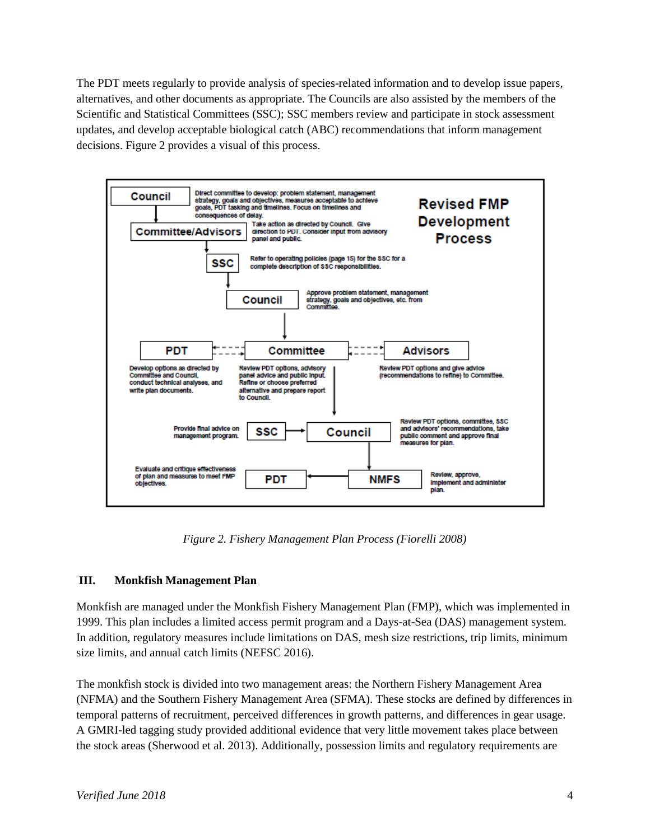The PDT meets regularly to provide analysis of species-related information and to develop issue papers, alternatives, and other documents as appropriate. The Councils are also assisted by the members of the Scientific and Statistical Committees (SSC); SSC members review and participate in stock assessment updates, and develop acceptable biological catch (ABC) recommendations that inform management decisions. Figure 2 provides a visual of this process.



*Figure 2. Fishery Management Plan Process (Fiorelli 2008)*

# **III. Monkfish Management Plan**

Monkfish are managed under the Monkfish Fishery Management Plan (FMP), which was implemented in 1999. This plan includes a limited access permit program and a Days-at-Sea (DAS) management system. In addition, regulatory measures include limitations on DAS, mesh size restrictions, trip limits, minimum size limits, and annual catch limits (NEFSC 2016).

The monkfish stock is divided into two management areas: the Northern Fishery Management Area (NFMA) and the Southern Fishery Management Area (SFMA). These stocks are defined by differences in temporal patterns of recruitment, perceived differences in growth patterns, and differences in gear usage. A GMRI-led tagging study provided additional evidence that very little movement takes place between the stock areas (Sherwood et al. 2013). Additionally, possession limits and regulatory requirements are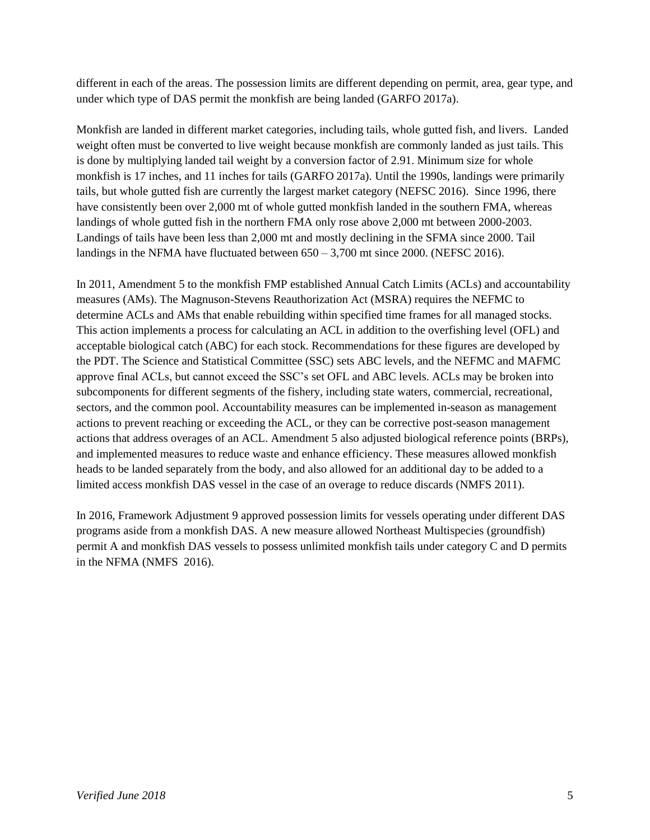different in each of the areas. The possession limits are different depending on permit, area, gear type, and under which type of DAS permit the monkfish are being landed (GARFO 2017a).

Monkfish are landed in different market categories, including tails, whole gutted fish, and livers. Landed weight often must be converted to live weight because monkfish are commonly landed as just tails. This is done by multiplying landed tail weight by a conversion factor of 2.91. Minimum size for whole monkfish is 17 inches, and 11 inches for tails (GARFO 2017a). Until the 1990s, landings were primarily tails, but whole gutted fish are currently the largest market category (NEFSC 2016). Since 1996, there have consistently been over 2,000 mt of whole gutted monkfish landed in the southern FMA, whereas landings of whole gutted fish in the northern FMA only rose above 2,000 mt between 2000-2003. Landings of tails have been less than 2,000 mt and mostly declining in the SFMA since 2000. Tail landings in the NFMA have fluctuated between  $650 - 3,700$  mt since 2000. (NEFSC 2016).

In 2011, Amendment 5 to the monkfish FMP established Annual Catch Limits (ACLs) and accountability measures (AMs). The Magnuson-Stevens Reauthorization Act (MSRA) requires the NEFMC to determine ACLs and AMs that enable rebuilding within specified time frames for all managed stocks. This action implements a process for calculating an ACL in addition to the overfishing level (OFL) and acceptable biological catch (ABC) for each stock. Recommendations for these figures are developed by the PDT. The Science and Statistical Committee (SSC) sets ABC levels, and the NEFMC and MAFMC approve final ACLs, but cannot exceed the SSC's set OFL and ABC levels. ACLs may be broken into subcomponents for different segments of the fishery, including state waters, commercial, recreational, sectors, and the common pool. Accountability measures can be implemented in-season as management actions to prevent reaching or exceeding the ACL, or they can be corrective post-season management actions that address overages of an ACL. Amendment 5 also adjusted biological reference points (BRPs), and implemented measures to reduce waste and enhance efficiency. These measures allowed monkfish heads to be landed separately from the body, and also allowed for an additional day to be added to a limited access monkfish DAS vessel in the case of an overage to reduce discards (NMFS 2011).

In 2016, Framework Adjustment 9 approved possession limits for vessels operating under different DAS programs aside from a monkfish DAS. A new measure allowed Northeast Multispecies (groundfish) permit A and monkfish DAS vessels to possess unlimited monkfish tails under category C and D permits in the NFMA (NMFS 2016).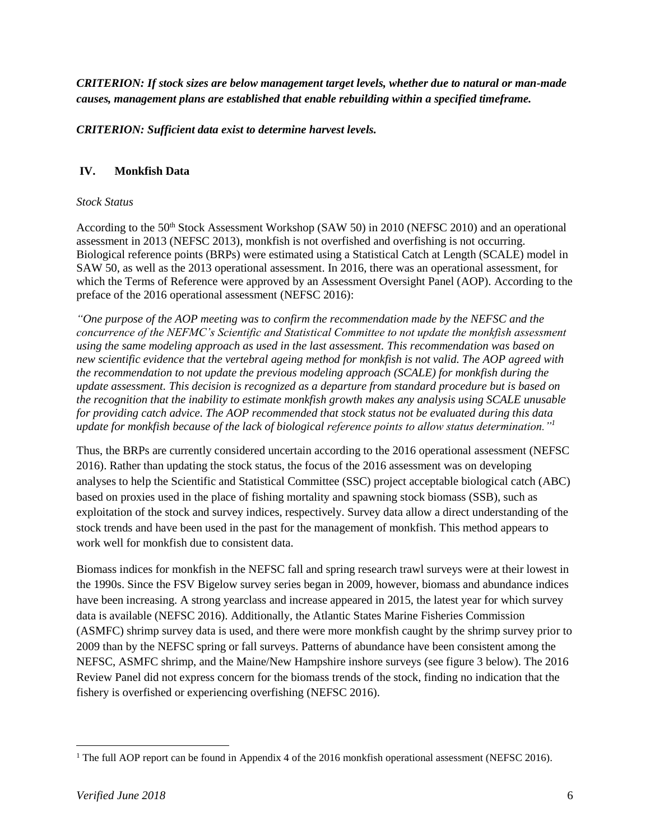*CRITERION: If stock sizes are below management target levels, whether due to natural or man-made causes, management plans are established that enable rebuilding within a specified timeframe.*

*CRITERION: Sufficient data exist to determine harvest levels.*

# **IV. Monkfish Data**

#### *Stock Status*

According to the 50<sup>th</sup> Stock Assessment Workshop (SAW 50) in 2010 (NEFSC 2010) and an operational assessment in 2013 (NEFSC 2013), monkfish is not overfished and overfishing is not occurring. Biological reference points (BRPs) were estimated using a Statistical Catch at Length (SCALE) model in SAW 50, as well as the 2013 operational assessment. In 2016, there was an operational assessment, for which the Terms of Reference were approved by an Assessment Oversight Panel (AOP). According to the preface of the 2016 operational assessment (NEFSC 2016):

*"One purpose of the AOP meeting was to confirm the recommendation made by the NEFSC and the concurrence of the NEFMC's Scientific and Statistical Committee to not update the monkfish assessment using the same modeling approach as used in the last assessment. This recommendation was based on new scientific evidence that the vertebral ageing method for monkfish is not valid. The AOP agreed with the recommendation to not update the previous modeling approach (SCALE) for monkfish during the update assessment. This decision is recognized as a departure from standard procedure but is based on the recognition that the inability to estimate monkfish growth makes any analysis using SCALE unusable for providing catch advice. The AOP recommended that stock status not be evaluated during this data update for monkfish because of the lack of biological reference points to allow status determination."<sup>1</sup>*

Thus, the BRPs are currently considered uncertain according to the 2016 operational assessment (NEFSC 2016). Rather than updating the stock status, the focus of the 2016 assessment was on developing analyses to help the Scientific and Statistical Committee (SSC) project acceptable biological catch (ABC) based on proxies used in the place of fishing mortality and spawning stock biomass (SSB), such as exploitation of the stock and survey indices, respectively. Survey data allow a direct understanding of the stock trends and have been used in the past for the management of monkfish. This method appears to work well for monkfish due to consistent data.

Biomass indices for monkfish in the NEFSC fall and spring research trawl surveys were at their lowest in the 1990s. Since the FSV Bigelow survey series began in 2009, however, biomass and abundance indices have been increasing. A strong yearclass and increase appeared in 2015, the latest year for which survey data is available (NEFSC 2016). Additionally, the Atlantic States Marine Fisheries Commission (ASMFC) shrimp survey data is used, and there were more monkfish caught by the shrimp survey prior to 2009 than by the NEFSC spring or fall surveys. Patterns of abundance have been consistent among the NEFSC, ASMFC shrimp, and the Maine/New Hampshire inshore surveys (see figure 3 below). The 2016 Review Panel did not express concern for the biomass trends of the stock, finding no indication that the fishery is overfished or experiencing overfishing (NEFSC 2016).

 $\overline{\phantom{a}}$ <sup>1</sup> The full AOP report can be found in Appendix 4 of the 2016 monkfish operational assessment (NEFSC 2016).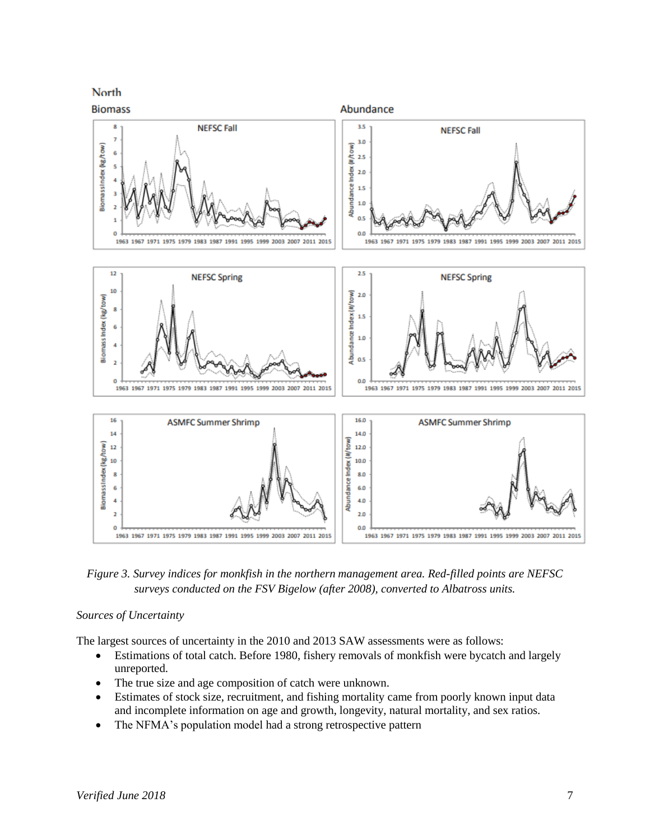

*Figure 3. Survey indices for monkfish in the northern management area. Red-filled points are NEFSC surveys conducted on the FSV Bigelow (after 2008), converted to Albatross units.*

#### *Sources of Uncertainty*

The largest sources of uncertainty in the 2010 and 2013 SAW assessments were as follows:

- Estimations of total catch. Before 1980, fishery removals of monkfish were bycatch and largely unreported.
- The true size and age composition of catch were unknown.
- Estimates of stock size, recruitment, and fishing mortality came from poorly known input data and incomplete information on age and growth, longevity, natural mortality, and sex ratios.
- The NFMA's population model had a strong retrospective pattern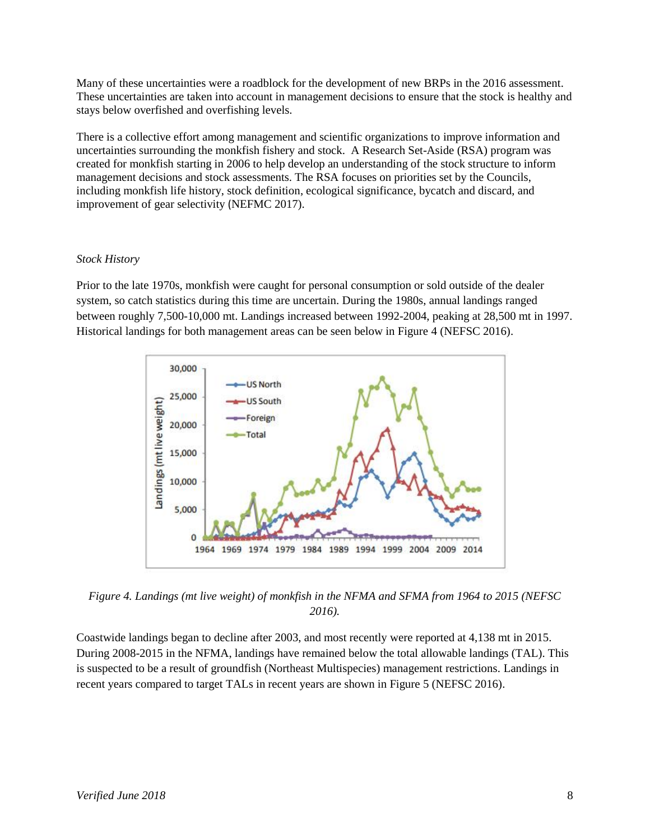Many of these uncertainties were a roadblock for the development of new BRPs in the 2016 assessment. These uncertainties are taken into account in management decisions to ensure that the stock is healthy and stays below overfished and overfishing levels.

There is a collective effort among management and scientific organizations to improve information and uncertainties surrounding the monkfish fishery and stock. A Research Set-Aside (RSA) program was created for monkfish starting in 2006 to help develop an understanding of the stock structure to inform management decisions and stock assessments. The RSA focuses on priorities set by the Councils, including monkfish life history, stock definition, ecological significance, bycatch and discard, and improvement of gear selectivity (NEFMC 2017).

#### *Stock History*

Prior to the late 1970s, monkfish were caught for personal consumption or sold outside of the dealer system, so catch statistics during this time are uncertain. During the 1980s, annual landings ranged between roughly 7,500-10,000 mt. Landings increased between 1992-2004, peaking at 28,500 mt in 1997. Historical landings for both management areas can be seen below in Figure 4 (NEFSC 2016).



*Figure 4. Landings (mt live weight) of monkfish in the NFMA and SFMA from 1964 to 2015 (NEFSC 2016).*

Coastwide landings began to decline after 2003, and most recently were reported at 4,138 mt in 2015. During 2008-2015 in the NFMA, landings have remained below the total allowable landings (TAL). This is suspected to be a result of groundfish (Northeast Multispecies) management restrictions. Landings in recent years compared to target TALs in recent years are shown in Figure 5 (NEFSC 2016).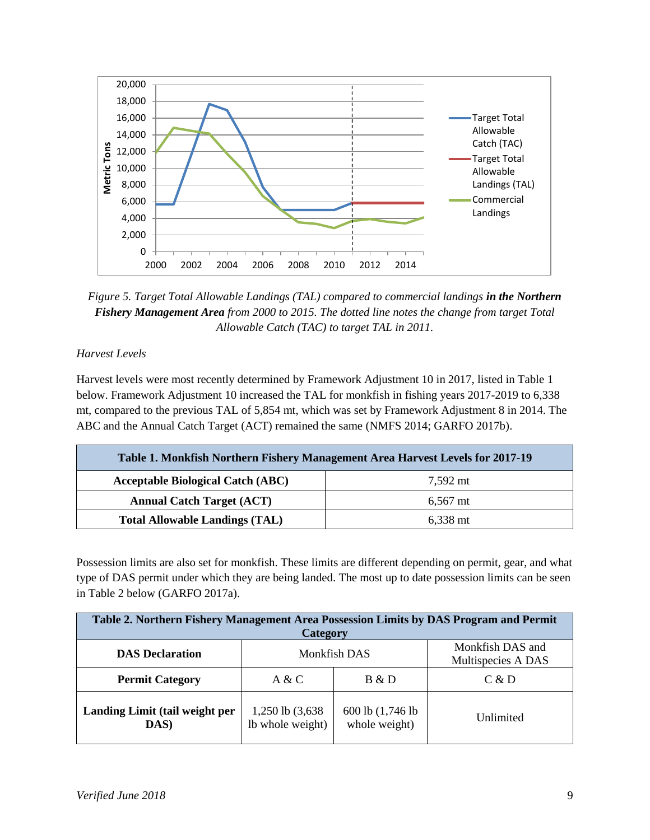

*Figure 5. Target Total Allowable Landings (TAL) compared to commercial landings in the Northern Fishery Management Area from 2000 to 2015. The dotted line notes the change from target Total Allowable Catch (TAC) to target TAL in 2011.*

# *Harvest Levels*

Harvest levels were most recently determined by Framework Adjustment 10 in 2017, listed in Table 1 below. Framework Adjustment 10 increased the TAL for monkfish in fishing years 2017-2019 to 6,338 mt, compared to the previous TAL of 5,854 mt, which was set by Framework Adjustment 8 in 2014. The ABC and the Annual Catch Target (ACT) remained the same (NMFS 2014; GARFO 2017b).

| Table 1. Monkfish Northern Fishery Management Area Harvest Levels for 2017-19 |                    |  |  |
|-------------------------------------------------------------------------------|--------------------|--|--|
| <b>Acceptable Biological Catch (ABC)</b>                                      | 7,592 mt           |  |  |
| <b>Annual Catch Target (ACT)</b>                                              | $6.567$ mt         |  |  |
| <b>Total Allowable Landings (TAL)</b>                                         | $6,338 \text{ mt}$ |  |  |

Possession limits are also set for monkfish. These limits are different depending on permit, gear, and what type of DAS permit under which they are being landed. The most up to date possession limits can be seen in Table 2 below (GARFO 2017a).

| Table 2. Northern Fishery Management Area Possession Limits by DAS Program and Permit |                                      |                                    |                                        |  |
|---------------------------------------------------------------------------------------|--------------------------------------|------------------------------------|----------------------------------------|--|
| <b>Category</b>                                                                       |                                      |                                    |                                        |  |
| <b>DAS</b> Declaration                                                                | Monkfish DAS                         |                                    | Monkfish DAS and<br>Multispecies A DAS |  |
| <b>Permit Category</b>                                                                | A & C                                | B & D                              | C & D                                  |  |
| Landing Limit (tail weight per<br>DAS)                                                | 1,250 lb (3,638)<br>Ib whole weight) | 600 lb (1,746 lb)<br>whole weight) | Unlimited                              |  |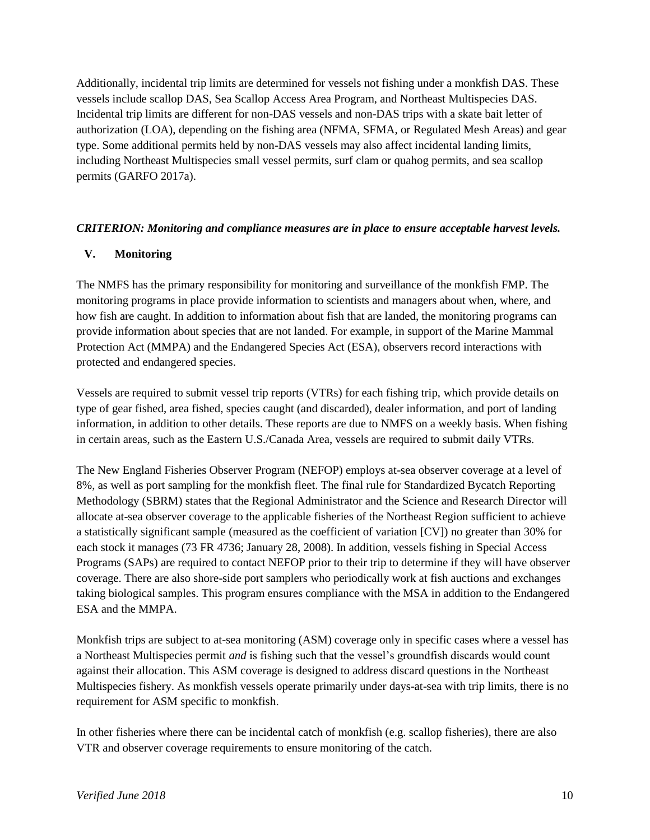Additionally, incidental trip limits are determined for vessels not fishing under a monkfish DAS. These vessels include scallop DAS, Sea Scallop Access Area Program, and Northeast Multispecies DAS. Incidental trip limits are different for non-DAS vessels and non-DAS trips with a skate bait letter of authorization (LOA), depending on the fishing area (NFMA, SFMA, or Regulated Mesh Areas) and gear type. Some additional permits held by non-DAS vessels may also affect incidental landing limits, including Northeast Multispecies small vessel permits, surf clam or quahog permits, and sea scallop permits (GARFO 2017a).

#### *CRITERION: Monitoring and compliance measures are in place to ensure acceptable harvest levels.*

#### **V. Monitoring**

The NMFS has the primary responsibility for monitoring and surveillance of the monkfish FMP. The monitoring programs in place provide information to scientists and managers about when, where, and how fish are caught. In addition to information about fish that are landed, the monitoring programs can provide information about species that are not landed. For example, in support of the Marine Mammal Protection Act (MMPA) and the Endangered Species Act (ESA), observers record interactions with protected and endangered species.

Vessels are required to submit vessel trip reports (VTRs) for each fishing trip, which provide details on type of gear fished, area fished, species caught (and discarded), dealer information, and port of landing information, in addition to other details. These reports are due to NMFS on a weekly basis. When fishing in certain areas, such as the Eastern U.S./Canada Area, vessels are required to submit daily VTRs.

The New England Fisheries Observer Program (NEFOP) employs at-sea observer coverage at a level of 8%, as well as port sampling for the monkfish fleet. The final rule for Standardized Bycatch Reporting Methodology (SBRM) states that the Regional Administrator and the Science and Research Director will allocate at-sea observer coverage to the applicable fisheries of the Northeast Region sufficient to achieve a statistically significant sample (measured as the coefficient of variation [CV]) no greater than 30% for each stock it manages (73 FR 4736; January 28, 2008). In addition, vessels fishing in Special Access Programs (SAPs) are required to contact NEFOP prior to their trip to determine if they will have observer coverage. There are also shore-side port samplers who periodically work at fish auctions and exchanges taking biological samples. This program ensures compliance with the MSA in addition to the Endangered ESA and the MMPA.

Monkfish trips are subject to at-sea monitoring (ASM) coverage only in specific cases where a vessel has a Northeast Multispecies permit *and* is fishing such that the vessel's groundfish discards would count against their allocation. This ASM coverage is designed to address discard questions in the Northeast Multispecies fishery. As monkfish vessels operate primarily under days-at-sea with trip limits, there is no requirement for ASM specific to monkfish.

In other fisheries where there can be incidental catch of monkfish (e.g. scallop fisheries), there are also VTR and observer coverage requirements to ensure monitoring of the catch.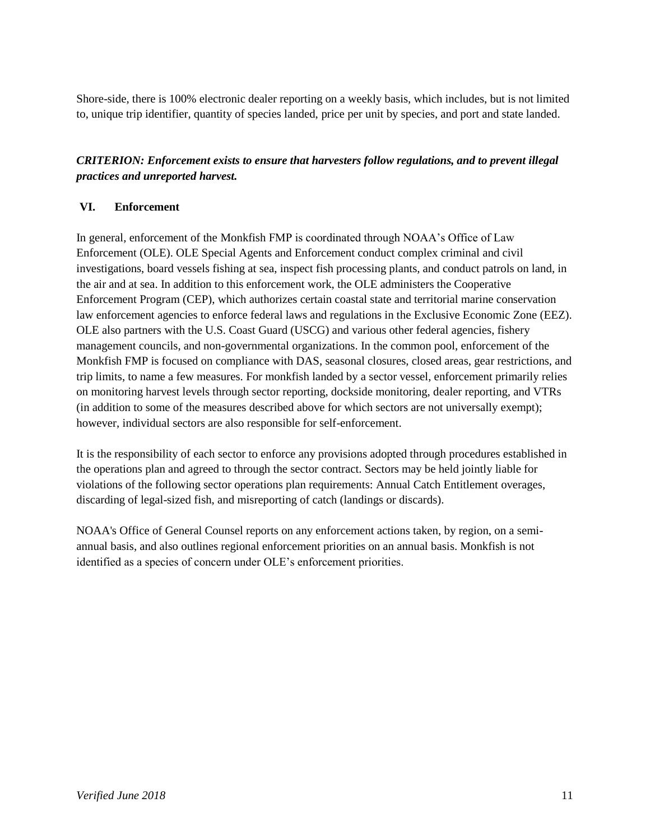Shore-side, there is 100% electronic dealer reporting on a weekly basis, which includes, but is not limited to, unique trip identifier, quantity of species landed, price per unit by species, and port and state landed.

# *CRITERION: Enforcement exists to ensure that harvesters follow regulations, and to prevent illegal practices and unreported harvest.*

# **VI. Enforcement**

In general, enforcement of the Monkfish FMP is coordinated through NOAA's Office of Law Enforcement (OLE). OLE Special Agents and Enforcement conduct complex criminal and civil investigations, board vessels fishing at sea, inspect fish processing plants, and conduct patrols on land, in the air and at sea. In addition to this enforcement work, the OLE administers the Cooperative Enforcement Program (CEP), which authorizes certain coastal state and territorial marine conservation law enforcement agencies to enforce federal laws and regulations in the Exclusive Economic Zone (EEZ). OLE also partners with the U.S. Coast Guard (USCG) and various other federal agencies, fishery management councils, and non-governmental organizations. In the common pool, enforcement of the Monkfish FMP is focused on compliance with DAS, seasonal closures, closed areas, gear restrictions, and trip limits, to name a few measures. For monkfish landed by a sector vessel, enforcement primarily relies on monitoring harvest levels through sector reporting, dockside monitoring, dealer reporting, and VTRs (in addition to some of the measures described above for which sectors are not universally exempt); however, individual sectors are also responsible for self-enforcement.

It is the responsibility of each sector to enforce any provisions adopted through procedures established in the operations plan and agreed to through the sector contract. Sectors may be held jointly liable for violations of the following sector operations plan requirements: Annual Catch Entitlement overages, discarding of legal-sized fish, and misreporting of catch (landings or discards).

NOAA's Office of General Counsel reports on any enforcement actions taken, by region, on a semiannual basis, and also outlines regional enforcement priorities on an annual basis. Monkfish is not identified as a species of concern under OLE's enforcement priorities.